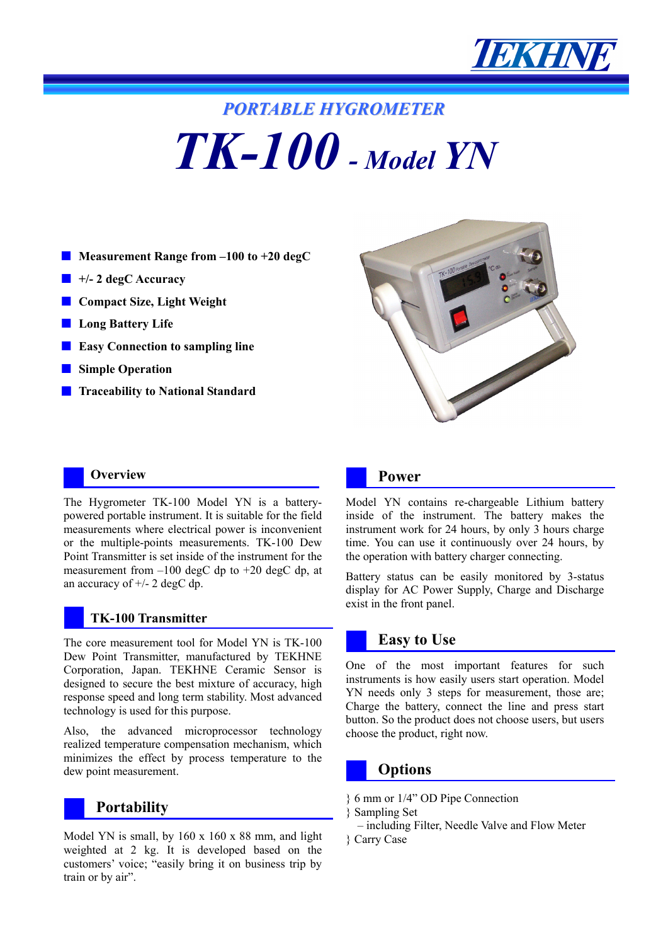

# *PORTABLE HYGROMETER TK-100 - Model YN*

- **Measurement Range from -100 to +20 degC**
- **+/- 2 degC Accuracy**
- **Compact Size, Light Weight**
- Long Battery Life
- **Easy Connection to sampling line**
- **Simple Operation**
- **Traceability to National Standard**



The Hygrometer TK-100 Model YN is a batterypowered portable instrument. It is suitable for the field measurements where electrical power is inconvenient or the multiple-points measurements. TK-100 Dew Point Transmitter is set inside of the instrument for the measurement from  $-100$  degC dp to  $+20$  degC dp, at an accuracy of  $+/- 2$  degC dp.

#### **TK-100 Transmitter**

The core measurement tool for Model YN is TK-100 Dew Point Transmitter, manufactured by TEKHNE Corporation, Japan. TEKHNE Ceramic Sensor is designed to secure the best mixture of accuracy, high response speed and long term stability. Most advanced technology is used for this purpose.

Also, the advanced microprocessor technology realized temperature compensation mechanism, which minimizes the effect by process temperature to the dew point measurement.

## **Portability**

Model YN is small, by 160 x 160 x 88 mm, and light weighted at 2 kg. It is developed based on the customers' voice; "easily bring it on business trip by train or by air".



#### **Power**

Model YN contains re-chargeable Lithium battery inside of the instrument. The battery makes the instrument work for 24 hours, by only 3 hours charge time. You can use it continuously over 24 hours, by the operation with battery charger connecting.

Battery status can be easily monitored by 3-status display for AC Power Supply, Charge and Discharge exist in the front panel.

#### **Easy to Use**

One of the most important features for such instruments is how easily users start operation. Model YN needs only 3 steps for measurement, those are; Charge the battery, connect the line and press start button. So the product does not choose users, but users choose the product, right now.

### **Options**

- } 6 mm or 1/4" OD Pipe Connection
- } Sampling Set
- including Filter, Needle Valve and Flow Meter } Carry Case